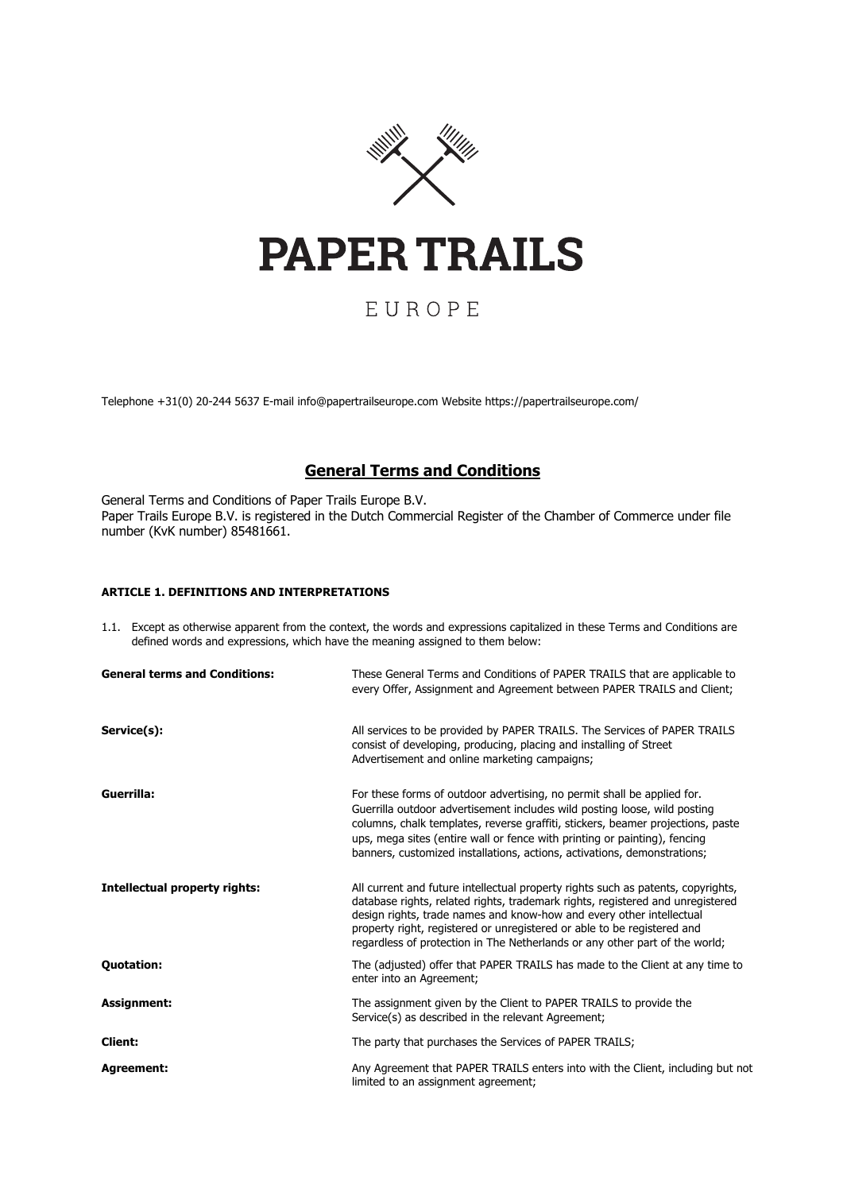

# EUROPE

Telephone +31(0) 20-244 5637 E-mail info@papertrailseurope.com Website https://papertrailseurope.com/

## **General Terms and Conditions**

General Terms and Conditions of Paper Trails Europe B.V. Paper Trails Europe B.V. is registered in the Dutch Commercial Register of the Chamber of Commerce under file number (KvK number) 85481661.

## **ARTICLE 1. DEFINITIONS AND INTERPRETATIONS**

| 1.1. Except as otherwise apparent from the context, the words and expressions capitalized in these Terms and Conditions are |
|-----------------------------------------------------------------------------------------------------------------------------|
| defined words and expressions, which have the meaning assigned to them below:                                               |

| <b>General terms and Conditions:</b> | These General Terms and Conditions of PAPER TRAILS that are applicable to<br>every Offer, Assignment and Agreement between PAPER TRAILS and Client;                                                                                                                                                                                                                                                  |
|--------------------------------------|------------------------------------------------------------------------------------------------------------------------------------------------------------------------------------------------------------------------------------------------------------------------------------------------------------------------------------------------------------------------------------------------------|
| Service(s):                          | All services to be provided by PAPER TRAILS. The Services of PAPER TRAILS<br>consist of developing, producing, placing and installing of Street<br>Advertisement and online marketing campaigns;                                                                                                                                                                                                     |
| Guerrilla:                           | For these forms of outdoor advertising, no permit shall be applied for.<br>Guerrilla outdoor advertisement includes wild posting loose, wild posting<br>columns, chalk templates, reverse graffiti, stickers, beamer projections, paste<br>ups, mega sites (entire wall or fence with printing or painting), fencing<br>banners, customized installations, actions, activations, demonstrations;     |
| <b>Intellectual property rights:</b> | All current and future intellectual property rights such as patents, copyrights,<br>database rights, related rights, trademark rights, registered and unregistered<br>design rights, trade names and know-how and every other intellectual<br>property right, registered or unregistered or able to be registered and<br>regardless of protection in The Netherlands or any other part of the world; |
| <b>Quotation:</b>                    | The (adjusted) offer that PAPER TRAILS has made to the Client at any time to<br>enter into an Agreement;                                                                                                                                                                                                                                                                                             |
| Assignment:                          | The assignment given by the Client to PAPER TRAILS to provide the<br>Service(s) as described in the relevant Agreement;                                                                                                                                                                                                                                                                              |
| <b>Client:</b>                       | The party that purchases the Services of PAPER TRAILS;                                                                                                                                                                                                                                                                                                                                               |
| <b>Agreement:</b>                    | Any Agreement that PAPER TRAILS enters into with the Client, including but not<br>limited to an assignment agreement;                                                                                                                                                                                                                                                                                |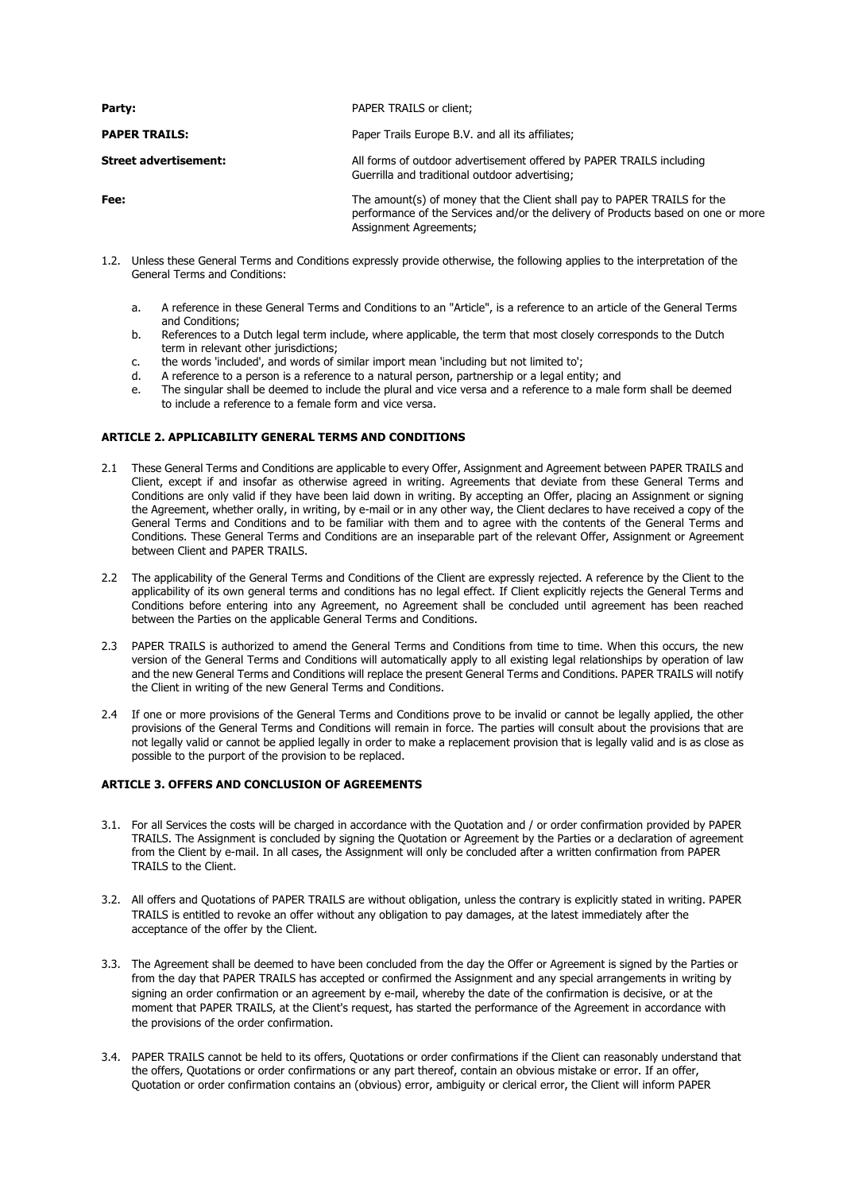| Party:                       | PAPER TRAILS or client;                                                                                                                                                                       |
|------------------------------|-----------------------------------------------------------------------------------------------------------------------------------------------------------------------------------------------|
| <b>PAPER TRAILS:</b>         | Paper Trails Europe B.V. and all its affiliates;                                                                                                                                              |
| <b>Street advertisement:</b> | All forms of outdoor advertisement offered by PAPER TRAILS including<br>Guerrilla and traditional outdoor advertising;                                                                        |
| Fee:                         | The amount(s) of money that the Client shall pay to PAPER TRAILS for the<br>performance of the Services and/or the delivery of Products based on one or more<br><b>Assignment Agreements;</b> |

- 1.2. Unless these General Terms and Conditions expressly provide otherwise, the following applies to the interpretation of the General Terms and Conditions:
	- a. A reference in these General Terms and Conditions to an "Article", is a reference to an article of the General Terms and Conditions;
	- b. References to a Dutch legal term include, where applicable, the term that most closely corresponds to the Dutch term in relevant other jurisdictions;
	- c. the words 'included', and words of similar import mean 'including but not limited to';
	- d. A reference to a person is a reference to a natural person, partnership or a legal entity; and
	- e. The singular shall be deemed to include the plural and vice versa and a reference to a male form shall be deemed to include a reference to a female form and vice versa.

## **ARTICLE 2. APPLICABILITY GENERAL TERMS AND CONDITIONS**

- 2.1 These General Terms and Conditions are applicable to every Offer, Assignment and Agreement between PAPER TRAILS and Client, except if and insofar as otherwise agreed in writing. Agreements that deviate from these General Terms and Conditions are only valid if they have been laid down in writing. By accepting an Offer, placing an Assignment or signing the Agreement, whether orally, in writing, by e-mail or in any other way, the Client declares to have received a copy of the General Terms and Conditions and to be familiar with them and to agree with the contents of the General Terms and Conditions. These General Terms and Conditions are an inseparable part of the relevant Offer, Assignment or Agreement between Client and PAPER TRAILS.
- 2.2 The applicability of the General Terms and Conditions of the Client are expressly rejected. A reference by the Client to the applicability of its own general terms and conditions has no legal effect. If Client explicitly rejects the General Terms and Conditions before entering into any Agreement, no Agreement shall be concluded until agreement has been reached between the Parties on the applicable General Terms and Conditions.
- 2.3 PAPER TRAILS is authorized to amend the General Terms and Conditions from time to time. When this occurs, the new version of the General Terms and Conditions will automatically apply to all existing legal relationships by operation of law and the new General Terms and Conditions will replace the present General Terms and Conditions. PAPER TRAILS will notify the Client in writing of the new General Terms and Conditions.
- 2.4 If one or more provisions of the General Terms and Conditions prove to be invalid or cannot be legally applied, the other provisions of the General Terms and Conditions will remain in force. The parties will consult about the provisions that are not legally valid or cannot be applied legally in order to make a replacement provision that is legally valid and is as close as possible to the purport of the provision to be replaced.

## **ARTICLE 3. OFFERS AND CONCLUSION OF AGREEMENTS**

- 3.1. For all Services the costs will be charged in accordance with the Quotation and / or order confirmation provided by PAPER TRAILS. The Assignment is concluded by signing the Quotation or Agreement by the Parties or a declaration of agreement from the Client by e-mail. In all cases, the Assignment will only be concluded after a written confirmation from PAPER TRAILS to the Client.
- 3.2. All offers and Quotations of PAPER TRAILS are without obligation, unless the contrary is explicitly stated in writing. PAPER TRAILS is entitled to revoke an offer without any obligation to pay damages, at the latest immediately after the acceptance of the offer by the Client.
- 3.3. The Agreement shall be deemed to have been concluded from the day the Offer or Agreement is signed by the Parties or from the day that PAPER TRAILS has accepted or confirmed the Assignment and any special arrangements in writing by signing an order confirmation or an agreement by e-mail, whereby the date of the confirmation is decisive, or at the moment that PAPER TRAILS, at the Client's request, has started the performance of the Agreement in accordance with the provisions of the order confirmation.
- 3.4. PAPER TRAILS cannot be held to its offers, Quotations or order confirmations if the Client can reasonably understand that the offers, Quotations or order confirmations or any part thereof, contain an obvious mistake or error. If an offer, Quotation or order confirmation contains an (obvious) error, ambiguity or clerical error, the Client will inform PAPER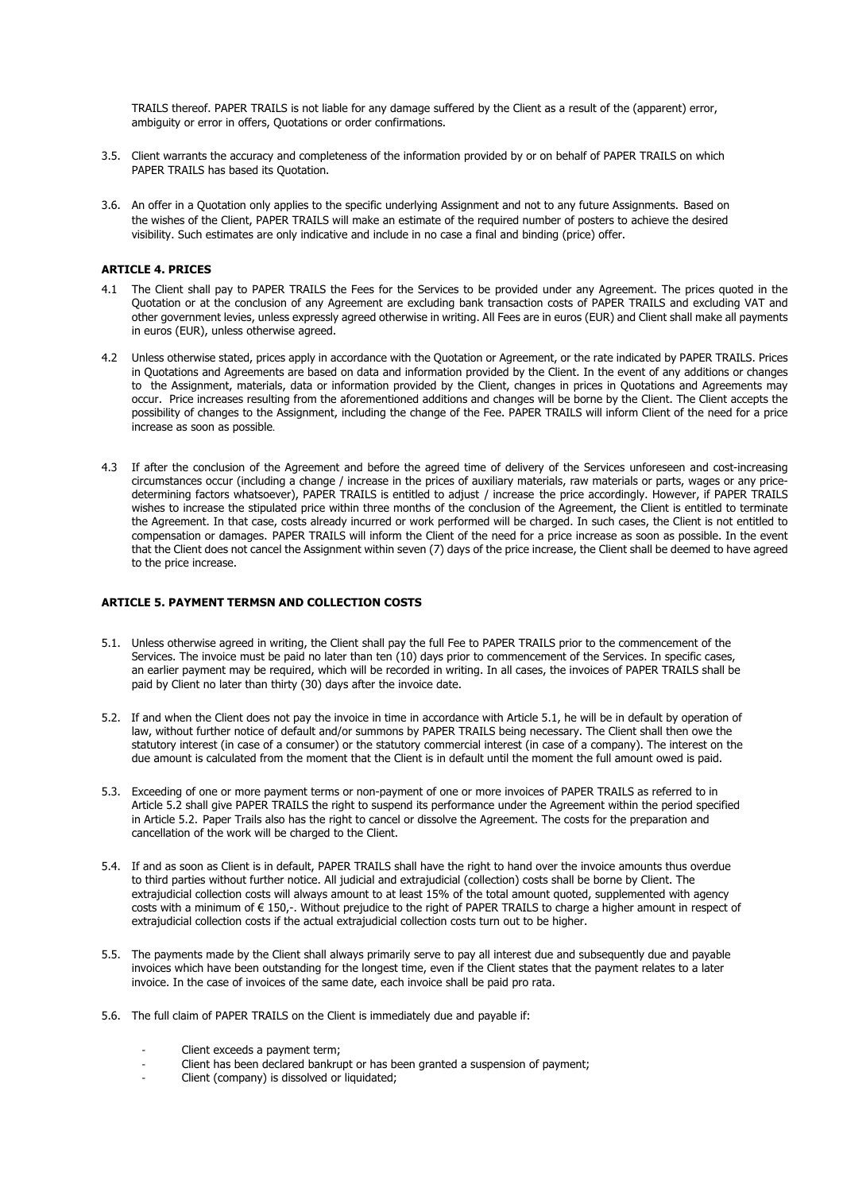TRAILS thereof. PAPER TRAILS is not liable for any damage suffered by the Client as a result of the (apparent) error, ambiguity or error in offers, Quotations or order confirmations.

- 3.5. Client warrants the accuracy and completeness of the information provided by or on behalf of PAPER TRAILS on which PAPER TRAILS has based its Quotation.
- 3.6. An offer in a Quotation only applies to the specific underlying Assignment and not to any future Assignments. Based on the wishes of the Client, PAPER TRAILS will make an estimate of the required number of posters to achieve the desired visibility. Such estimates are only indicative and include in no case a final and binding (price) offer.

## **ARTICLE 4. PRICES**

- 4.1 The Client shall pay to PAPER TRAILS the Fees for the Services to be provided under any Agreement. The prices quoted in the Quotation or at the conclusion of any Agreement are excluding bank transaction costs of PAPER TRAILS and excluding VAT and other government levies, unless expressly agreed otherwise in writing. All Fees are in euros (EUR) and Client shall make all payments in euros (EUR), unless otherwise agreed.
- 4.2 Unless otherwise stated, prices apply in accordance with the Quotation or Agreement, or the rate indicated by PAPER TRAILS. Prices in Quotations and Agreements are based on data and information provided by the Client. In the event of any additions or changes to the Assignment, materials, data or information provided by the Client, changes in prices in Quotations and Agreements may occur. Price increases resulting from the aforementioned additions and changes will be borne by the Client. The Client accepts the possibility of changes to the Assignment, including the change of the Fee. PAPER TRAILS will inform Client of the need for a price increase as soon as possible.
- 4.3 If after the conclusion of the Agreement and before the agreed time of delivery of the Services unforeseen and cost-increasing circumstances occur (including a change / increase in the prices of auxiliary materials, raw materials or parts, wages or any pricedetermining factors whatsoever), PAPER TRAILS is entitled to adjust / increase the price accordingly. However, if PAPER TRAILS wishes to increase the stipulated price within three months of the conclusion of the Agreement, the Client is entitled to terminate the Agreement. In that case, costs already incurred or work performed will be charged. In such cases, the Client is not entitled to compensation or damages. PAPER TRAILS will inform the Client of the need for a price increase as soon as possible. In the event that the Client does not cancel the Assignment within seven (7) days of the price increase, the Client shall be deemed to have agreed to the price increase.

#### **ARTICLE 5. PAYMENT TERMSN AND COLLECTION COSTS**

- 5.1. Unless otherwise agreed in writing, the Client shall pay the full Fee to PAPER TRAILS prior to the commencement of the Services. The invoice must be paid no later than ten (10) days prior to commencement of the Services. In specific cases, an earlier payment may be required, which will be recorded in writing. In all cases, the invoices of PAPER TRAILS shall be paid by Client no later than thirty (30) days after the invoice date.
- 5.2. If and when the Client does not pay the invoice in time in accordance with Article 5.1, he will be in default by operation of law, without further notice of default and/or summons by PAPER TRAILS being necessary. The Client shall then owe the statutory interest (in case of a consumer) or the statutory commercial interest (in case of a company). The interest on the due amount is calculated from the moment that the Client is in default until the moment the full amount owed is paid.
- 5.3. Exceeding of one or more payment terms or non-payment of one or more invoices of PAPER TRAILS as referred to in Article 5.2 shall give PAPER TRAILS the right to suspend its performance under the Agreement within the period specified in Article 5.2. Paper Trails also has the right to cancel or dissolve the Agreement. The costs for the preparation and cancellation of the work will be charged to the Client.
- 5.4. If and as soon as Client is in default, PAPER TRAILS shall have the right to hand over the invoice amounts thus overdue to third parties without further notice. All judicial and extrajudicial (collection) costs shall be borne by Client. The extrajudicial collection costs will always amount to at least 15% of the total amount quoted, supplemented with agency costs with a minimum of € 150,-. Without prejudice to the right of PAPER TRAILS to charge a higher amount in respect of extrajudicial collection costs if the actual extrajudicial collection costs turn out to be higher.
- 5.5. The payments made by the Client shall always primarily serve to pay all interest due and subsequently due and payable invoices which have been outstanding for the longest time, even if the Client states that the payment relates to a later invoice. In the case of invoices of the same date, each invoice shall be paid pro rata.
- 5.6. The full claim of PAPER TRAILS on the Client is immediately due and payable if:
	- Client exceeds a payment term:
	- Client has been declared bankrupt or has been granted a suspension of payment;
	- Client (company) is dissolved or liquidated;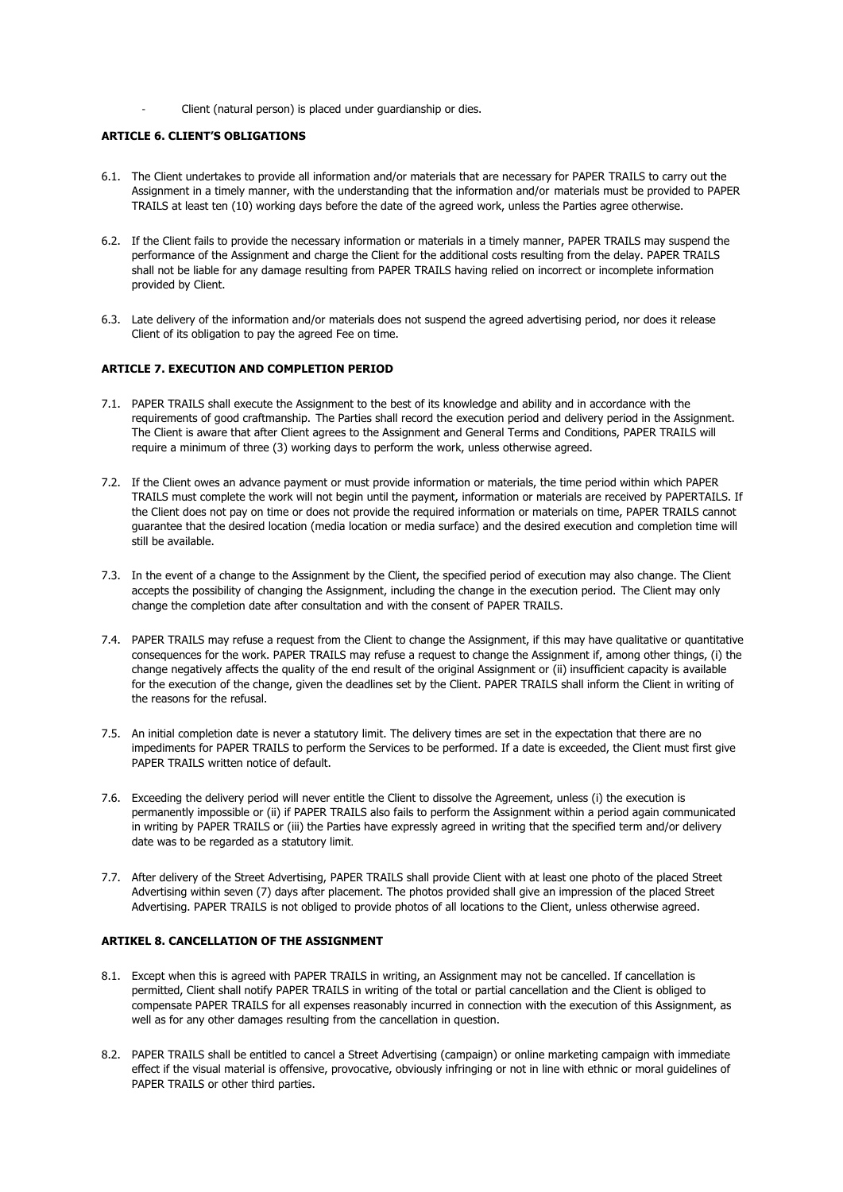Client (natural person) is placed under guardianship or dies.

## **ARTICLE 6. CLIENT'S OBLIGATIONS**

- 6.1. The Client undertakes to provide all information and/or materials that are necessary for PAPER TRAILS to carry out the Assignment in a timely manner, with the understanding that the information and/or materials must be provided to PAPER TRAILS at least ten (10) working days before the date of the agreed work, unless the Parties agree otherwise.
- 6.2. If the Client fails to provide the necessary information or materials in a timely manner, PAPER TRAILS may suspend the performance of the Assignment and charge the Client for the additional costs resulting from the delay. PAPER TRAILS shall not be liable for any damage resulting from PAPER TRAILS having relied on incorrect or incomplete information provided by Client.
- 6.3. Late delivery of the information and/or materials does not suspend the agreed advertising period, nor does it release Client of its obligation to pay the agreed Fee on time.

## **ARTICLE 7. EXECUTION AND COMPLETION PERIOD**

- 7.1. PAPER TRAILS shall execute the Assignment to the best of its knowledge and ability and in accordance with the requirements of good craftmanship. The Parties shall record the execution period and delivery period in the Assignment. The Client is aware that after Client agrees to the Assignment and General Terms and Conditions, PAPER TRAILS will require a minimum of three (3) working days to perform the work, unless otherwise agreed.
- 7.2. If the Client owes an advance payment or must provide information or materials, the time period within which PAPER TRAILS must complete the work will not begin until the payment, information or materials are received by PAPERTAILS. If the Client does not pay on time or does not provide the required information or materials on time, PAPER TRAILS cannot guarantee that the desired location (media location or media surface) and the desired execution and completion time will still be available.
- 7.3. In the event of a change to the Assignment by the Client, the specified period of execution may also change. The Client accepts the possibility of changing the Assignment, including the change in the execution period. The Client may only change the completion date after consultation and with the consent of PAPER TRAILS.
- 7.4. PAPER TRAILS may refuse a request from the Client to change the Assignment, if this may have qualitative or quantitative consequences for the work. PAPER TRAILS may refuse a request to change the Assignment if, among other things, (i) the change negatively affects the quality of the end result of the original Assignment or (ii) insufficient capacity is available for the execution of the change, given the deadlines set by the Client. PAPER TRAILS shall inform the Client in writing of the reasons for the refusal.
- 7.5. An initial completion date is never a statutory limit. The delivery times are set in the expectation that there are no impediments for PAPER TRAILS to perform the Services to be performed. If a date is exceeded, the Client must first give PAPER TRAILS written notice of default.
- 7.6. Exceeding the delivery period will never entitle the Client to dissolve the Agreement, unless (i) the execution is permanently impossible or (ii) if PAPER TRAILS also fails to perform the Assignment within a period again communicated in writing by PAPER TRAILS or (iii) the Parties have expressly agreed in writing that the specified term and/or delivery date was to be regarded as a statutory limit.
- 7.7. After delivery of the Street Advertising, PAPER TRAILS shall provide Client with at least one photo of the placed Street Advertising within seven (7) days after placement. The photos provided shall give an impression of the placed Street Advertising. PAPER TRAILS is not obliged to provide photos of all locations to the Client, unless otherwise agreed.

#### **ARTIKEL 8. CANCELLATION OF THE ASSIGNMENT**

- 8.1. Except when this is agreed with PAPER TRAILS in writing, an Assignment may not be cancelled. If cancellation is permitted, Client shall notify PAPER TRAILS in writing of the total or partial cancellation and the Client is obliged to compensate PAPER TRAILS for all expenses reasonably incurred in connection with the execution of this Assignment, as well as for any other damages resulting from the cancellation in question.
- 8.2. PAPER TRAILS shall be entitled to cancel a Street Advertising (campaign) or online marketing campaign with immediate effect if the visual material is offensive, provocative, obviously infringing or not in line with ethnic or moral guidelines of PAPER TRAILS or other third parties.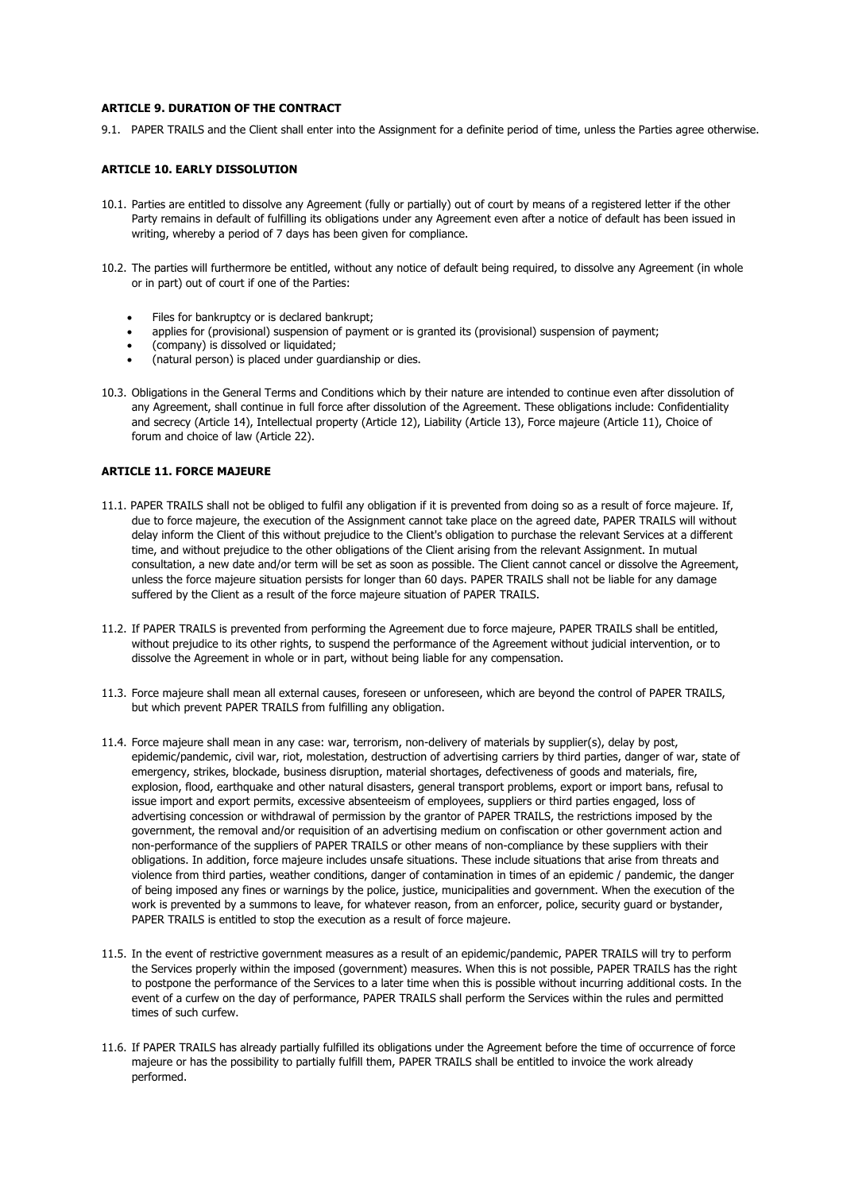#### **ARTICLE 9. DURATION OF THE CONTRACT**

9.1. PAPER TRAILS and the Client shall enter into the Assignment for a definite period of time, unless the Parties agree otherwise.

#### **ARTICLE 10. EARLY DISSOLUTION**

- 10.1. Parties are entitled to dissolve any Agreement (fully or partially) out of court by means of a registered letter if the other Party remains in default of fulfilling its obligations under any Agreement even after a notice of default has been issued in writing, whereby a period of 7 days has been given for compliance.
- 10.2. The parties will furthermore be entitled, without any notice of default being required, to dissolve any Agreement (in whole or in part) out of court if one of the Parties:
	- Files for bankruptcy or is declared bankrupt;
	- applies for (provisional) suspension of payment or is granted its (provisional) suspension of payment;
	- (company) is dissolved or liquidated;
	- (natural person) is placed under guardianship or dies.
- 10.3. Obligations in the General Terms and Conditions which by their nature are intended to continue even after dissolution of any Agreement, shall continue in full force after dissolution of the Agreement. These obligations include: Confidentiality and secrecy (Article 14), Intellectual property (Article 12), Liability (Article 13), Force majeure (Article 11), Choice of forum and choice of law (Article 22).

## **ARTICLE 11. FORCE MAJEURE**

- 11.1. PAPER TRAILS shall not be obliged to fulfil any obligation if it is prevented from doing so as a result of force majeure. If, due to force majeure, the execution of the Assignment cannot take place on the agreed date, PAPER TRAILS will without delay inform the Client of this without prejudice to the Client's obligation to purchase the relevant Services at a different time, and without prejudice to the other obligations of the Client arising from the relevant Assignment. In mutual consultation, a new date and/or term will be set as soon as possible. The Client cannot cancel or dissolve the Agreement, unless the force majeure situation persists for longer than 60 days. PAPER TRAILS shall not be liable for any damage suffered by the Client as a result of the force majeure situation of PAPER TRAILS.
- 11.2. If PAPER TRAILS is prevented from performing the Agreement due to force majeure, PAPER TRAILS shall be entitled, without prejudice to its other rights, to suspend the performance of the Agreement without judicial intervention, or to dissolve the Agreement in whole or in part, without being liable for any compensation.
- 11.3. Force majeure shall mean all external causes, foreseen or unforeseen, which are beyond the control of PAPER TRAILS, but which prevent PAPER TRAILS from fulfilling any obligation.
- 11.4. Force majeure shall mean in any case: war, terrorism, non-delivery of materials by supplier(s), delay by post, epidemic/pandemic, civil war, riot, molestation, destruction of advertising carriers by third parties, danger of war, state of emergency, strikes, blockade, business disruption, material shortages, defectiveness of goods and materials, fire, explosion, flood, earthquake and other natural disasters, general transport problems, export or import bans, refusal to issue import and export permits, excessive absenteeism of employees, suppliers or third parties engaged, loss of advertising concession or withdrawal of permission by the grantor of PAPER TRAILS, the restrictions imposed by the government, the removal and/or requisition of an advertising medium on confiscation or other government action and non-performance of the suppliers of PAPER TRAILS or other means of non-compliance by these suppliers with their obligations. In addition, force majeure includes unsafe situations. These include situations that arise from threats and violence from third parties, weather conditions, danger of contamination in times of an epidemic / pandemic, the danger of being imposed any fines or warnings by the police, justice, municipalities and government. When the execution of the work is prevented by a summons to leave, for whatever reason, from an enforcer, police, security guard or bystander, PAPER TRAILS is entitled to stop the execution as a result of force majeure.
- 11.5. In the event of restrictive government measures as a result of an epidemic/pandemic, PAPER TRAILS will try to perform the Services properly within the imposed (government) measures. When this is not possible, PAPER TRAILS has the right to postpone the performance of the Services to a later time when this is possible without incurring additional costs. In the event of a curfew on the day of performance, PAPER TRAILS shall perform the Services within the rules and permitted times of such curfew.
- 11.6. If PAPER TRAILS has already partially fulfilled its obligations under the Agreement before the time of occurrence of force majeure or has the possibility to partially fulfill them, PAPER TRAILS shall be entitled to invoice the work already performed.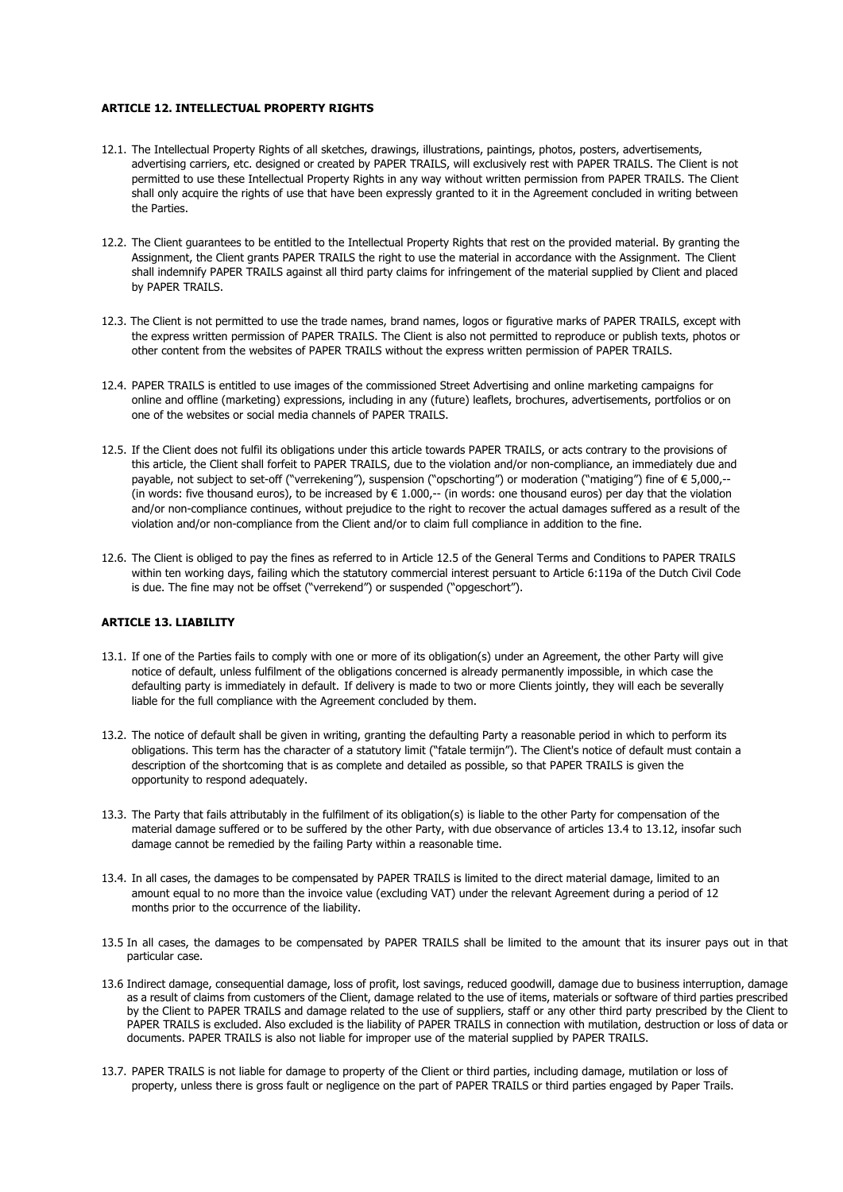#### **ARTICLE 12. INTELLECTUAL PROPERTY RIGHTS**

- 12.1. The Intellectual Property Rights of all sketches, drawings, illustrations, paintings, photos, posters, advertisements, advertising carriers, etc. designed or created by PAPER TRAILS, will exclusively rest with PAPER TRAILS. The Client is not permitted to use these Intellectual Property Rights in any way without written permission from PAPER TRAILS. The Client shall only acquire the rights of use that have been expressly granted to it in the Agreement concluded in writing between the Parties.
- 12.2. The Client guarantees to be entitled to the Intellectual Property Rights that rest on the provided material. By granting the Assignment, the Client grants PAPER TRAILS the right to use the material in accordance with the Assignment. The Client shall indemnify PAPER TRAILS against all third party claims for infringement of the material supplied by Client and placed by PAPER TRAILS.
- 12.3. The Client is not permitted to use the trade names, brand names, logos or figurative marks of PAPER TRAILS, except with the express written permission of PAPER TRAILS. The Client is also not permitted to reproduce or publish texts, photos or other content from the websites of PAPER TRAILS without the express written permission of PAPER TRAILS.
- 12.4. PAPER TRAILS is entitled to use images of the commissioned Street Advertising and online marketing campaigns for online and offline (marketing) expressions, including in any (future) leaflets, brochures, advertisements, portfolios or on one of the websites or social media channels of PAPER TRAILS.
- 12.5. If the Client does not fulfil its obligations under this article towards PAPER TRAILS, or acts contrary to the provisions of this article, the Client shall forfeit to PAPER TRAILS, due to the violation and/or non-compliance, an immediately due and payable, not subject to set-off ("verrekening"), suspension ("opschorting") or moderation ("matiging") fine of € 5,000,-- (in words: five thousand euros), to be increased by  $\in 1.000$ ,-- (in words: one thousand euros) per day that the violation and/or non-compliance continues, without prejudice to the right to recover the actual damages suffered as a result of the violation and/or non-compliance from the Client and/or to claim full compliance in addition to the fine.
- 12.6. The Client is obliged to pay the fines as referred to in Article 12.5 of the General Terms and Conditions to PAPER TRAILS within ten working days, failing which the statutory commercial interest persuant to Article 6:119a of the Dutch Civil Code is due. The fine may not be offset ("verrekend") or suspended ("opgeschort").

## **ARTICLE 13. LIABILITY**

- 13.1. If one of the Parties fails to comply with one or more of its obligation(s) under an Agreement, the other Party will give notice of default, unless fulfilment of the obligations concerned is already permanently impossible, in which case the defaulting party is immediately in default. If delivery is made to two or more Clients jointly, they will each be severally liable for the full compliance with the Agreement concluded by them.
- 13.2. The notice of default shall be given in writing, granting the defaulting Party a reasonable period in which to perform its obligations. This term has the character of a statutory limit ("fatale termijn"). The Client's notice of default must contain a description of the shortcoming that is as complete and detailed as possible, so that PAPER TRAILS is given the opportunity to respond adequately.
- 13.3. The Party that fails attributably in the fulfilment of its obligation(s) is liable to the other Party for compensation of the material damage suffered or to be suffered by the other Party, with due observance of articles 13.4 to 13.12, insofar such damage cannot be remedied by the failing Party within a reasonable time.
- 13.4. In all cases, the damages to be compensated by PAPER TRAILS is limited to the direct material damage, limited to an amount equal to no more than the invoice value (excluding VAT) under the relevant Agreement during a period of 12 months prior to the occurrence of the liability.
- 13.5 In all cases, the damages to be compensated by PAPER TRAILS shall be limited to the amount that its insurer pays out in that particular case.
- 13.6 Indirect damage, consequential damage, loss of profit, lost savings, reduced goodwill, damage due to business interruption, damage as a result of claims from customers of the Client, damage related to the use of items, materials or software of third parties prescribed by the Client to PAPER TRAILS and damage related to the use of suppliers, staff or any other third party prescribed by the Client to PAPER TRAILS is excluded. Also excluded is the liability of PAPER TRAILS in connection with mutilation, destruction or loss of data or documents. PAPER TRAILS is also not liable for improper use of the material supplied by PAPER TRAILS.
- 13.7. PAPER TRAILS is not liable for damage to property of the Client or third parties, including damage, mutilation or loss of property, unless there is gross fault or negligence on the part of PAPER TRAILS or third parties engaged by Paper Trails.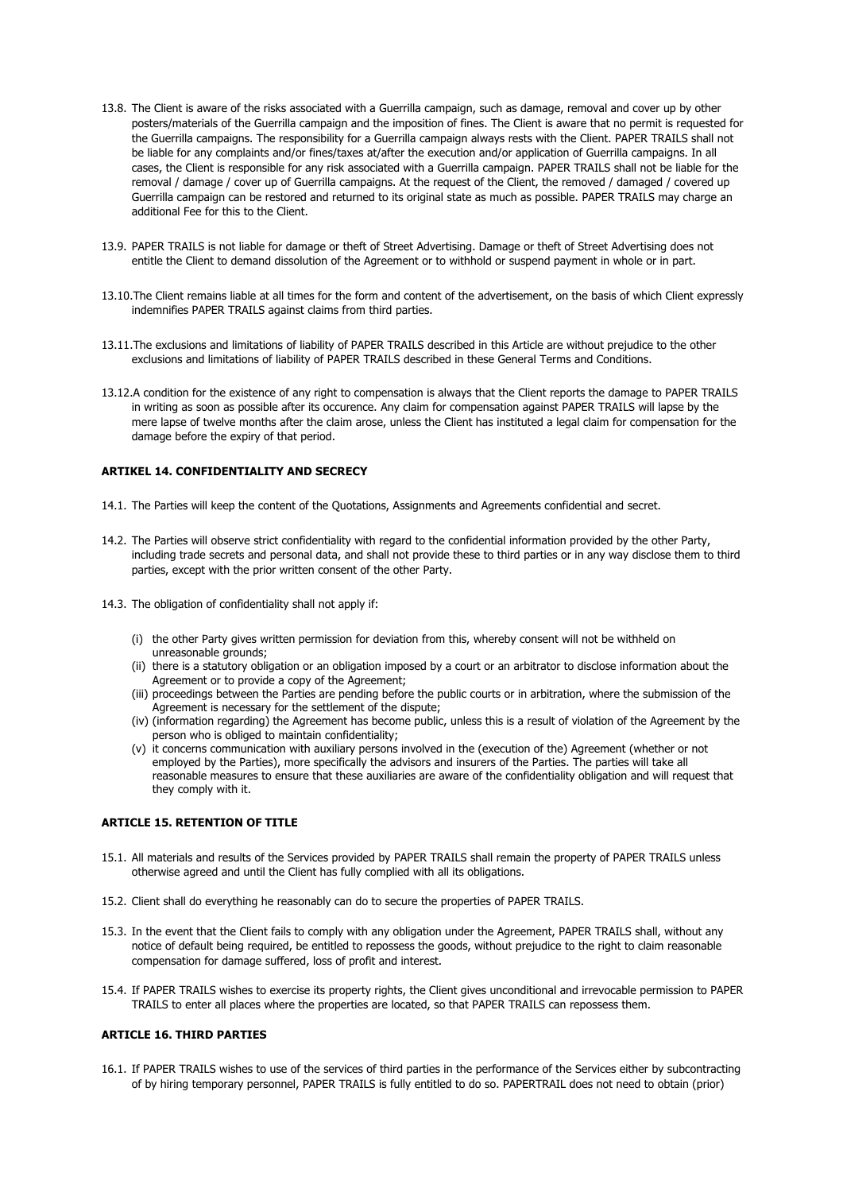- 13.8. The Client is aware of the risks associated with a Guerrilla campaign, such as damage, removal and cover up by other posters/materials of the Guerrilla campaign and the imposition of fines. The Client is aware that no permit is requested for the Guerrilla campaigns. The responsibility for a Guerrilla campaign always rests with the Client. PAPER TRAILS shall not be liable for any complaints and/or fines/taxes at/after the execution and/or application of Guerrilla campaigns. In all cases, the Client is responsible for any risk associated with a Guerrilla campaign. PAPER TRAILS shall not be liable for the removal / damage / cover up of Guerrilla campaigns. At the request of the Client, the removed / damaged / covered up Guerrilla campaign can be restored and returned to its original state as much as possible. PAPER TRAILS may charge an additional Fee for this to the Client.
- 13.9. PAPER TRAILS is not liable for damage or theft of Street Advertising. Damage or theft of Street Advertising does not entitle the Client to demand dissolution of the Agreement or to withhold or suspend payment in whole or in part.
- 13.10.The Client remains liable at all times for the form and content of the advertisement, on the basis of which Client expressly indemnifies PAPER TRAILS against claims from third parties.
- 13.11.The exclusions and limitations of liability of PAPER TRAILS described in this Article are without prejudice to the other exclusions and limitations of liability of PAPER TRAILS described in these General Terms and Conditions.
- 13.12.A condition for the existence of any right to compensation is always that the Client reports the damage to PAPER TRAILS in writing as soon as possible after its occurence. Any claim for compensation against PAPER TRAILS will lapse by the mere lapse of twelve months after the claim arose, unless the Client has instituted a legal claim for compensation for the damage before the expiry of that period.

#### **ARTIKEL 14. CONFIDENTIALITY AND SECRECY**

- 14.1. The Parties will keep the content of the Quotations, Assignments and Agreements confidential and secret.
- 14.2. The Parties will observe strict confidentiality with regard to the confidential information provided by the other Party, including trade secrets and personal data, and shall not provide these to third parties or in any way disclose them to third parties, except with the prior written consent of the other Party.
- 14.3. The obligation of confidentiality shall not apply if:
	- (i) the other Party gives written permission for deviation from this, whereby consent will not be withheld on unreasonable grounds;
	- (ii) there is a statutory obligation or an obligation imposed by a court or an arbitrator to disclose information about the Agreement or to provide a copy of the Agreement;
	- (iii) proceedings between the Parties are pending before the public courts or in arbitration, where the submission of the Agreement is necessary for the settlement of the dispute;
	- (iv) (information regarding) the Agreement has become public, unless this is a result of violation of the Agreement by the person who is obliged to maintain confidentiality;
	- (v) it concerns communication with auxiliary persons involved in the (execution of the) Agreement (whether or not employed by the Parties), more specifically the advisors and insurers of the Parties. The parties will take all reasonable measures to ensure that these auxiliaries are aware of the confidentiality obligation and will request that they comply with it.

#### **ARTICLE 15. RETENTION OF TITLE**

- 15.1. All materials and results of the Services provided by PAPER TRAILS shall remain the property of PAPER TRAILS unless otherwise agreed and until the Client has fully complied with all its obligations.
- 15.2. Client shall do everything he reasonably can do to secure the properties of PAPER TRAILS.
- 15.3. In the event that the Client fails to comply with any obligation under the Agreement, PAPER TRAILS shall, without any notice of default being required, be entitled to repossess the goods, without prejudice to the right to claim reasonable compensation for damage suffered, loss of profit and interest.
- 15.4. If PAPER TRAILS wishes to exercise its property rights, the Client gives unconditional and irrevocable permission to PAPER TRAILS to enter all places where the properties are located, so that PAPER TRAILS can repossess them.

#### **ARTICLE 16. THIRD PARTIES**

16.1. If PAPER TRAILS wishes to use of the services of third parties in the performance of the Services either by subcontracting of by hiring temporary personnel, PAPER TRAILS is fully entitled to do so. PAPERTRAIL does not need to obtain (prior)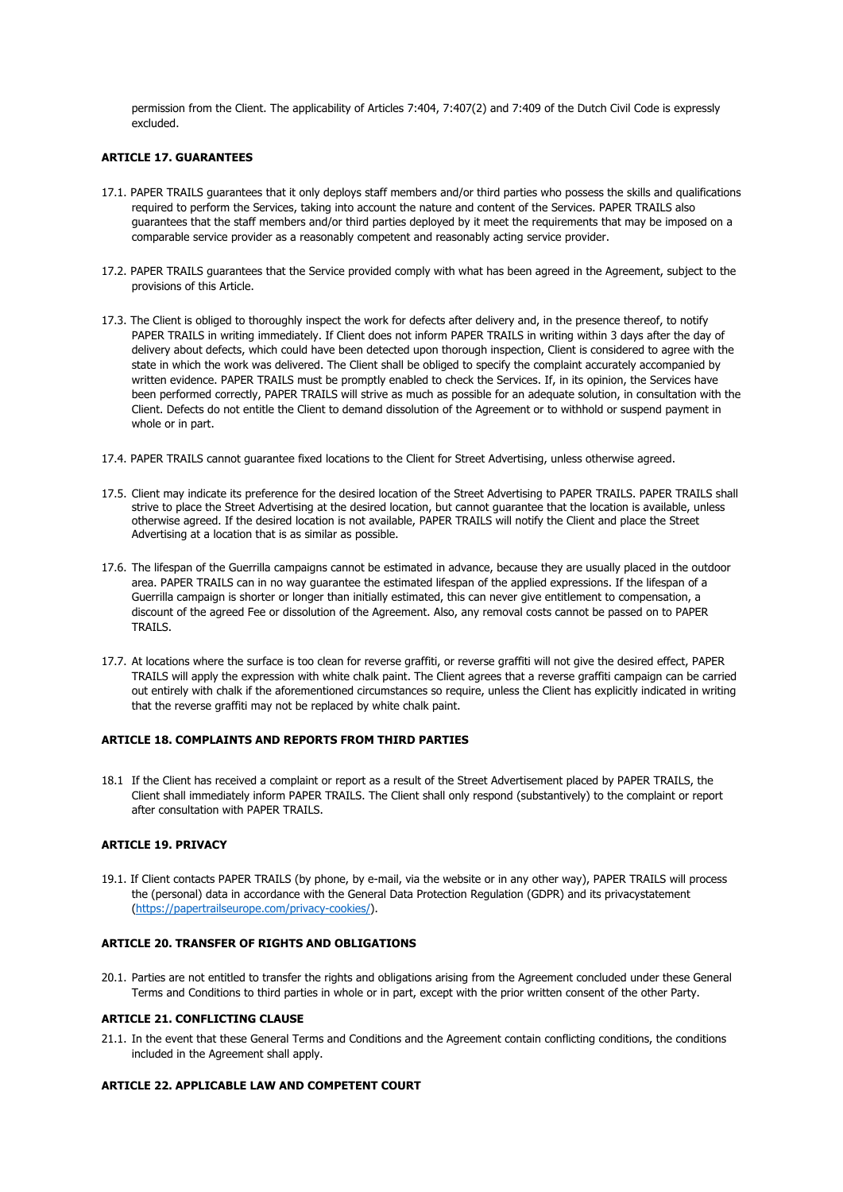permission from the Client. The applicability of Articles 7:404, 7:407(2) and 7:409 of the Dutch Civil Code is expressly excluded.

#### **ARTICLE 17. GUARANTEES**

- 17.1. PAPER TRAILS guarantees that it only deploys staff members and/or third parties who possess the skills and qualifications required to perform the Services, taking into account the nature and content of the Services. PAPER TRAILS also guarantees that the staff members and/or third parties deployed by it meet the requirements that may be imposed on a comparable service provider as a reasonably competent and reasonably acting service provider.
- 17.2. PAPER TRAILS guarantees that the Service provided comply with what has been agreed in the Agreement, subject to the provisions of this Article.
- 17.3. The Client is obliged to thoroughly inspect the work for defects after delivery and, in the presence thereof, to notify PAPER TRAILS in writing immediately. If Client does not inform PAPER TRAILS in writing within 3 days after the day of delivery about defects, which could have been detected upon thorough inspection, Client is considered to agree with the state in which the work was delivered. The Client shall be obliged to specify the complaint accurately accompanied by written evidence. PAPER TRAILS must be promptly enabled to check the Services. If, in its opinion, the Services have been performed correctly, PAPER TRAILS will strive as much as possible for an adequate solution, in consultation with the Client. Defects do not entitle the Client to demand dissolution of the Agreement or to withhold or suspend payment in whole or in part.
- 17.4. PAPER TRAILS cannot guarantee fixed locations to the Client for Street Advertising, unless otherwise agreed.
- 17.5. Client may indicate its preference for the desired location of the Street Advertising to PAPER TRAILS. PAPER TRAILS shall strive to place the Street Advertising at the desired location, but cannot guarantee that the location is available, unless otherwise agreed. If the desired location is not available, PAPER TRAILS will notify the Client and place the Street Advertising at a location that is as similar as possible.
- 17.6. The lifespan of the Guerrilla campaigns cannot be estimated in advance, because they are usually placed in the outdoor area. PAPER TRAILS can in no way guarantee the estimated lifespan of the applied expressions. If the lifespan of a Guerrilla campaign is shorter or longer than initially estimated, this can never give entitlement to compensation, a discount of the agreed Fee or dissolution of the Agreement. Also, any removal costs cannot be passed on to PAPER TRAILS.
- 17.7. At locations where the surface is too clean for reverse graffiti, or reverse graffiti will not give the desired effect, PAPER TRAILS will apply the expression with white chalk paint. The Client agrees that a reverse graffiti campaign can be carried out entirely with chalk if the aforementioned circumstances so require, unless the Client has explicitly indicated in writing that the reverse graffiti may not be replaced by white chalk paint.

#### **ARTICLE 18. COMPLAINTS AND REPORTS FROM THIRD PARTIES**

18.1 If the Client has received a complaint or report as a result of the Street Advertisement placed by PAPER TRAILS, the Client shall immediately inform PAPER TRAILS. The Client shall only respond (substantively) to the complaint or report after consultation with PAPER TRAILS.

## **ARTICLE 19. PRIVACY**

19.1. If Client contacts PAPER TRAILS (by phone, by e-mail, via the website or in any other way), PAPER TRAILS will process the (personal) data in accordance with the General Data Protection Regulation (GDPR) and its privacystatement (https://papertrailseurope.com/privacy-cookies/).

## **ARTICLE 20. TRANSFER OF RIGHTS AND OBLIGATIONS**

20.1. Parties are not entitled to transfer the rights and obligations arising from the Agreement concluded under these General Terms and Conditions to third parties in whole or in part, except with the prior written consent of the other Party.

#### **ARTICLE 21. CONFLICTING CLAUSE**

21.1. In the event that these General Terms and Conditions and the Agreement contain conflicting conditions, the conditions included in the Agreement shall apply.

#### **ARTICLE 22. APPLICABLE LAW AND COMPETENT COURT**